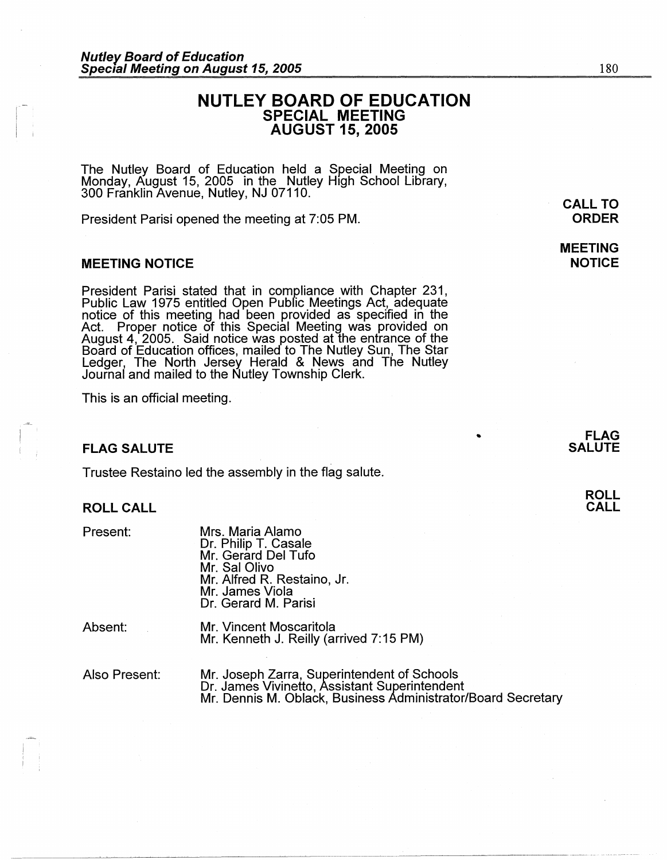# **NUTLEY BOARD OF EDUCATION SPECIAL MEETING AUGUST 15, 2005**

The Nutley Board of Education held a Special Meeting on Monday, August 15, 2005 in the Nutley High School Library, 300 Franklin Avenue, Nutley, NJ 07110.

President Parisi opened the meeting at 7:05 PM.

# **MEETING NOTICE**

President Parisi stated that in compliance with Chapter 231, Public Law 1975 entitled Open Public Meetings Act, adequate notice of this meeting had been provided as specified in the Act. Proper notice of this Special Meeting was provided on August 4, 2005. Said notice was posted at the entrance of the Board of Education offices, mailed to The Nutley Sun, The Star Ledger, The North Jersey Herald & News and The Nutley Journal and mailed to the Nutley Township Clerk.

This is an official meeting.

# **FLAG SALUTE**

Trustee Restaino led the assembly in the flag salute.

## **ROLL CALL**

Present:

| Mrs. Maria Alamo            |
|-----------------------------|
| Dr. Philip T. Casale        |
| Mr. Gerard Del Tufo         |
| Mr. Sal Olivo               |
| Mr. Alfred R. Restaino, Jr. |
| Mr. James Viola             |
| Dr. Gerard M. Parisi        |

| Absent: | Mr. Vincent Moscaritola                 |
|---------|-----------------------------------------|
|         | Mr. Kenneth J. Reilly (arrived 7:15 PM) |

Also Present:

Mr. Joseph Zarra, Superintendent of Schools Dr. James Vivinetto, Assistant Superintendent Mr. Dennis M. Oblack, Business Administrator/Board Secretary

**CALL TO ORDER** 

**MEETING NOTICE**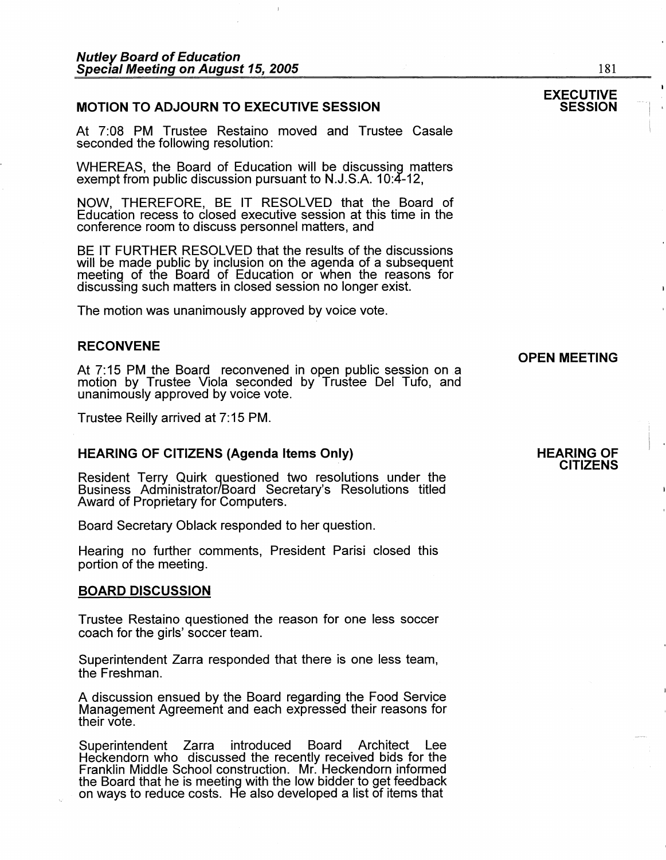# **MOTION TO ADJOURN TO EXECUTIVE SESSION**

At 7:08 PM Trustee Restaino moved and Trustee Casale seconded the following resolution:

WHEREAS, the Board of Education will be discussing matters exempt from public discussion pursuant to N.J.S.A. 10:4-12,

NOW, THEREFORE, BE IT RESOLVED that the Board of Education recess to closed executive session at this time in the conference room to discuss personnel matters, and

BE IT FURTHER RESOLVED that the results of the discussions will be made public by inclusion on the agenda of a subsequent meeting of the Board of Education or when the reasons for discussing such matters in closed session no longer exist.

The motion was unanimously approved by voice vote.

# **RECONVENE**

At 7:15 PM the Board reconvened in open public session on a motion by Trustee Viola seconded by Trustee Del Tufo, and unanimously approved by voice vote.

Trustee Reilly arrived at 7:15 PM.

# **HEARING OF CITIZENS (Agenda Items Only)**

Resident Terry Quirk questioned two resolutions under the Business Administrator/Board Secretary's Resolutions titled Award of Proprietary for Computers.

Board Secretary Oblack responded to her question.

Hearing no further comments, President Parisi closed this portion of the meeting.

# **BOARD DISCUSSION**

Trustee Restaino questioned the reason for one less soccer coach for the girls' soccer team.

Superintendent Zarra responded that there is one less team, the Freshman.

A discussion ensued by the Board regarding the Food Service Management Agreement and each expressed their reasons for their vote.

Superintendent Zarra introduced Board Architect Lee Heckendorn who discussed the recently received bids for the Franklin Middle School construction. Mr. Heckendorn informed the Board that he is meeting with the low bidder to get feedback on ways to reduce costs. He also developed a list of items that

# **HEARING OF CITIZENS**

**OPEN MEETING** 

# **EXECUTIVE SESSION**

181

 $\mathbf{I}$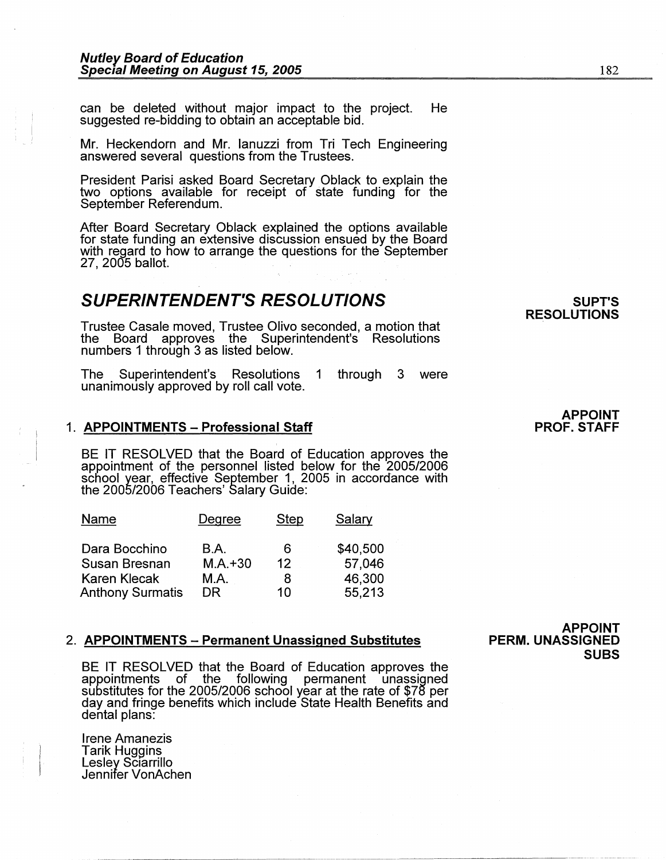can be deleted without major impact to the project. He suggested re-bidding to obtain an acceptable bid.

Mr. Heckendorn and Mr. Ianuzzi from Tri Tech Engineering answered several questions from the Trustees.

President Parisi asked Board Secretary Oblack to explain the two options available for receipt of state funding for the September Referendum.

After Board Secretary Oblack explained the options available for state funding an extensive discussion ensued by the Board with regard to how to arrange the questions for the September 27, 2005 ballot.

# **SUPERINTENDENT'S RESOLUTIONS**

Trustee Casale moved, Trustee Olivo seconded, a motion that the Board approves the Superintendent's Resolutions numbers 1 through 3 as listed below.

The Superintendent's Resolutions 1 through 3 were unanimously approved by roll call vote.

## 1. **APPOINTMENTS - Professional Staff**

BE IT RESOLVED that the Board of Education approves the appointment of the personnel listed below for the 2005/2006 school year, effective September 1, 2005 in accordance with the 2005/2006 Teachers' Salary Guide:

| Name                    | Degree      | Step | Salary   |
|-------------------------|-------------|------|----------|
| Dara Bocchino           | B.A.        | 6    | \$40,500 |
| Susan Bresnan           | $M.A. + 30$ | 12   | 57,046   |
| <b>Karen Klecak</b>     | M.A.        | 8    | 46,300   |
| <b>Anthony Surmatis</b> | DR          | 10   | 55,213   |

# 2. **APPOINTMENTS - Permanent Unassigned Substitutes**

BE IT RESOLVED that the Board of Education approves the appointments of the following permanent unassigned substitutes for the 2005/2006 school year at the rate of \$78 per day and fringe benefits which include State Health Benefits and dental plans:

Irene Amanezis Tarik Huggins Lesley Sciarrillo Jennifer VonAchen

**APPOINT PERM. UNASSIGNED SUBS** 

#### **APPOINT PROF. STAFF**

**SUPT'S RESOLUTIONS**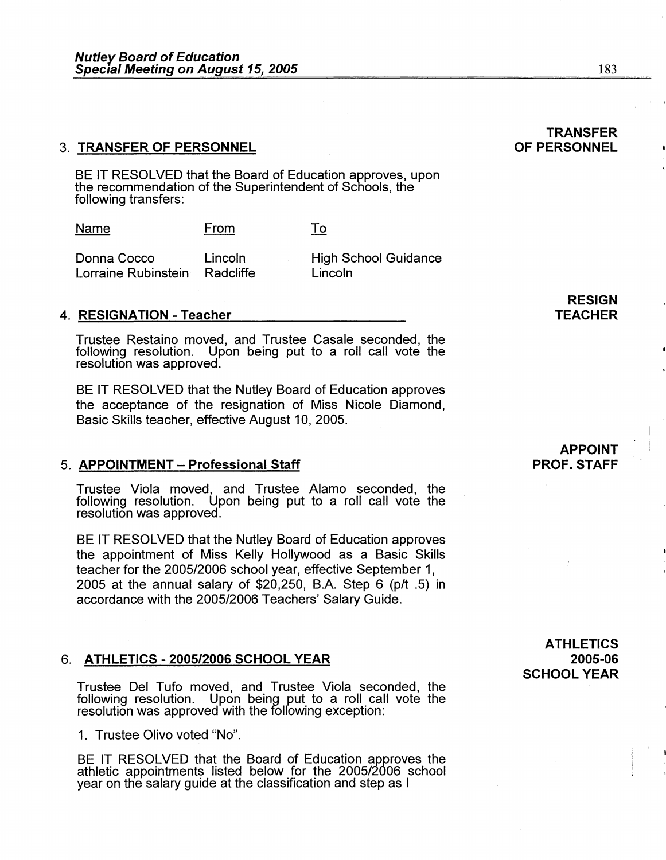# 3. **TRANSFER OF PERSONNEL**

BE IT RESOLVED that the Board of Education approves, upon the recommendation of the Superintendent of Schools, the following transfers:

| Name | From<br>_____ | . .<br>---- |
|------|---------------|-------------|
|      |               |             |

Donna Cocco Lincoln Lorraine Rubinstein Radcliffe High School Guidance Lincoln

# **4. RESIGNATION -Teacher**

Trustee Restaino moved, and Trustee Casale seconded, the following resolution. Upon being put to a roll call vote the resolution was approved.

BE IT RESOLVED that the Nutley Board of Education approves the acceptance of the resignation of Miss Nicole Diamond, Basic Skills teacher, effective August 10, 2005.

# 5. **APPOINTMENT - Professional Staff**

Trustee Viola moved, and Trustee Alamo seconded, the following resolution. Upon being put to a roll call vote the resolution was approved.

BE IT RESOLVED that the Nutley Board of Education approves the appointment of Miss Kelly Hollywood as a Basic Skills teacher for the 2005/2006 school year, effective September 1, 2005 at the annual salary of \$20,250, B.A. Step 6 (p/t  $.5$ ) in accordance with the 2005/2006 Teachers' Salary Guide.

# 6. **ATHLETICS - 2005/2006 SCHOOL YEAR**

Trustee Del Tufo moved, and Trustee Viola seconded, the following resolution. Upon being put to a roll call vote the resolution was approved with the following exception:

1. Trustee Olivo voted "No".

BE IT RESOLVED that the Board of Education approves the athletic appointments listed below for the 2005/2006 school year on the salary guide at the classification and step as I

# **ATHLETICS**

# **2005-06 SCHOOL YEAR**

# **OF PERSONNEL**

**TRANSFER** 

# **APPOINT PROF. STAFF**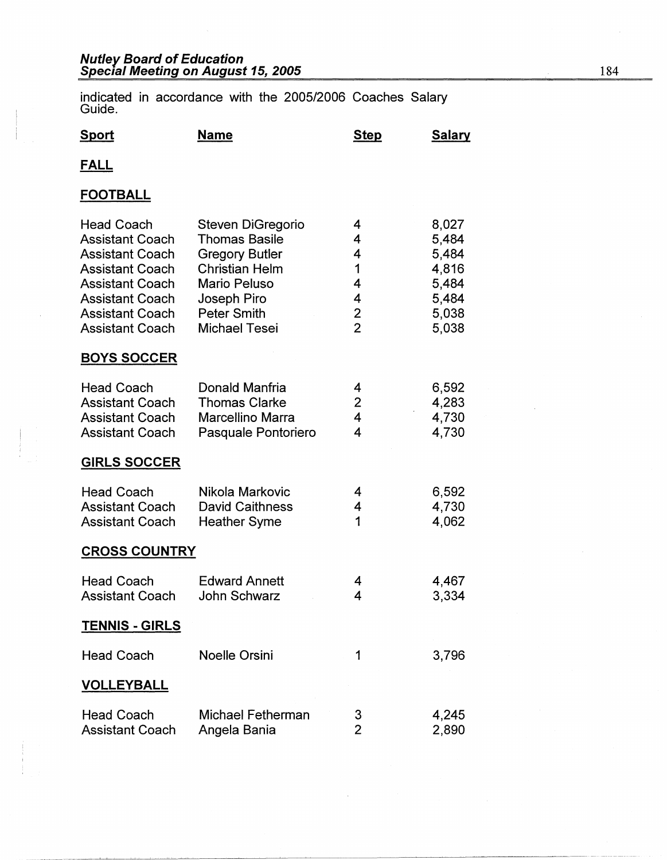# **Nutley Board of Education Special Meeting on August 15, 2005** 184

indicated in accordance with the 2005/2006 Coaches Salary Guide.

| Sport                                                                                                                                                                                                   | <b>Name</b>                                                                                                                                                                     | <b>Step</b>                                 | <b>Salary</b>                                                        |
|---------------------------------------------------------------------------------------------------------------------------------------------------------------------------------------------------------|---------------------------------------------------------------------------------------------------------------------------------------------------------------------------------|---------------------------------------------|----------------------------------------------------------------------|
| <b>FALL</b>                                                                                                                                                                                             |                                                                                                                                                                                 |                                             |                                                                      |
| <b>FOOTBALL</b>                                                                                                                                                                                         |                                                                                                                                                                                 |                                             |                                                                      |
| <b>Head Coach</b><br><b>Assistant Coach</b><br><b>Assistant Coach</b><br><b>Assistant Coach</b><br><b>Assistant Coach</b><br><b>Assistant Coach</b><br><b>Assistant Coach</b><br><b>Assistant Coach</b> | Steven DiGregorio<br><b>Thomas Basile</b><br><b>Gregory Butler</b><br><b>Christian Helm</b><br><b>Mario Peluso</b><br>Joseph Piro<br><b>Peter Smith</b><br><b>Michael Tesei</b> | 4<br>4<br>4<br>1<br>4<br>4<br>$\frac{2}{2}$ | 8,027<br>5,484<br>5,484<br>4,816<br>5,484<br>5,484<br>5,038<br>5,038 |
| <b>BOYS SOCCER</b>                                                                                                                                                                                      |                                                                                                                                                                                 |                                             |                                                                      |
| <b>Head Coach</b><br><b>Assistant Coach</b><br><b>Assistant Coach</b><br><b>Assistant Coach</b>                                                                                                         | Donald Manfria<br><b>Thomas Clarke</b><br>Marcellino Marra<br>Pasquale Pontoriero                                                                                               | 4<br>$\overline{2}$<br>4<br>4               | 6,592<br>4,283<br>4,730<br>4,730                                     |
| <b>GIRLS SOCCER</b>                                                                                                                                                                                     |                                                                                                                                                                                 |                                             |                                                                      |
| <b>Head Coach</b><br><b>Assistant Coach</b><br><b>Assistant Coach</b>                                                                                                                                   | Nikola Markovic<br><b>David Caithness</b><br><b>Heather Syme</b>                                                                                                                | 4<br>4<br>1                                 | 6,592<br>4,730<br>4,062                                              |
| <b>CROSS COUNTRY</b>                                                                                                                                                                                    |                                                                                                                                                                                 |                                             |                                                                      |
| <b>Head Coach</b><br><b>Assistant Coach</b>                                                                                                                                                             | <b>Edward Annett</b><br><b>John Schwarz</b>                                                                                                                                     | 4<br>4                                      | 4,467<br>3,334                                                       |
| <b>TENNIS - GIRLS</b>                                                                                                                                                                                   |                                                                                                                                                                                 |                                             |                                                                      |
| <b>Head Coach</b>                                                                                                                                                                                       | <b>Noelle Orsini</b>                                                                                                                                                            | 1                                           | 3,796                                                                |
| <b>VOLLEYBALL</b>                                                                                                                                                                                       |                                                                                                                                                                                 |                                             |                                                                      |
| <b>Head Coach</b><br><b>Assistant Coach</b>                                                                                                                                                             | Michael Fetherman<br>Angela Bania                                                                                                                                               | 3<br>$\overline{2}$                         | 4,245<br>2,890                                                       |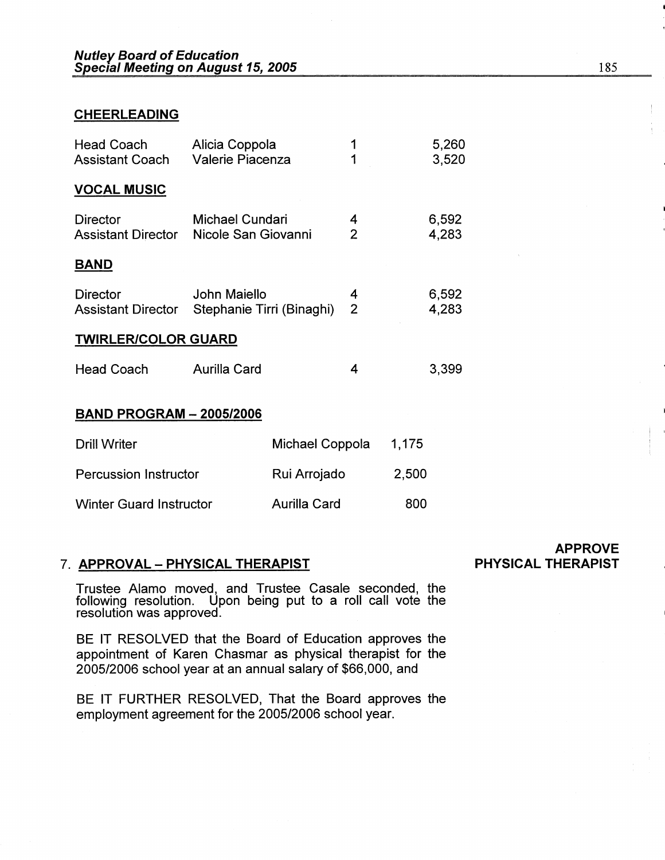# **CHEERLEADING**

| Head Coach<br><b>Assistant Coach</b>         | Alicia Coppola<br><b>Valerie Piacenza</b> |                 | 1                   |       | 5,260<br>3,520 |
|----------------------------------------------|-------------------------------------------|-----------------|---------------------|-------|----------------|
| <b>VOCAL MUSIC</b>                           |                                           |                 |                     |       |                |
| <b>Director</b><br><b>Assistant Director</b> | Michael Cundari<br>Nicole San Giovanni    |                 | 4<br>$\overline{2}$ |       | 6,592<br>4,283 |
| <u>BAND</u>                                  |                                           |                 |                     |       |                |
| <b>Director</b><br><b>Assistant Director</b> | John Maiello<br>Stephanie Tirri (Binaghi) |                 | 4<br>2              |       | 6,592<br>4,283 |
| <b>TWIRLER/COLOR GUARD</b>                   |                                           |                 |                     |       |                |
| <b>Head Coach</b>                            | <b>Aurilla Card</b>                       |                 | 4                   |       | 3,399          |
| <b>BAND PROGRAM - 2005/2006</b>              |                                           |                 |                     |       |                |
| <b>Drill Writer</b>                          |                                           | Michael Coppola |                     | 1,175 |                |
| <b>Percussion Instructor</b>                 |                                           | Rui Arrojado    |                     | 2,500 |                |

# 7. **APPROVAL** - **PHYSICAL THERAPIST**

Winter Guard Instructor

Trustee Alamo moved, and Trustee Casale seconded, the following resolution. Upon being put to a roll call vote the resolution was approved.

Aurilla Card 800

BE IT RESOLVED that the Board of Education approves the appointment of Karen Chasmar as physical therapist for the 2005/2006 school year at an annual salary of \$66,000, and

BE IT FURTHER RESOLVED, That the Board approves the employment agreement for the 2005/2006 school year.

**APPROVE PHYSICAL THERAPIST**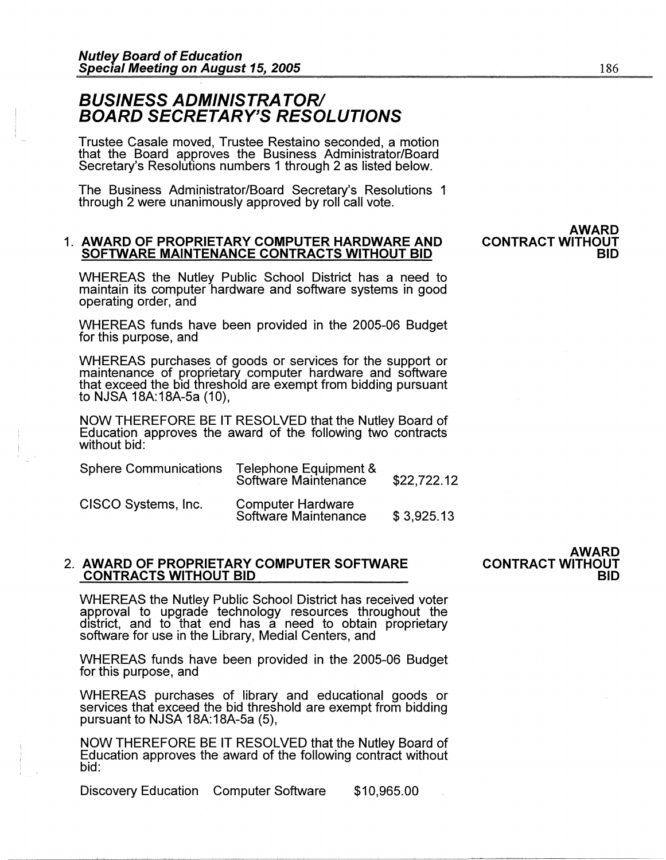# **BUSINESS ADMINISTRATOR/ BOARD SECRETARY'S RESOLUTIONS**

Trustee Casale moved, Trustee Restaino seconded, a motion that the Board approves the Business Administrator/Board Secretary's Resolutions numbers 1 through 2 as listed below.

The Business Administrator/Board Secretary's Resolutions 1 through 2 were unanimously approved by roll call vote.

# 1. **AWARD OF PROPRIETARY COMPUTER HARDWARE AND SOFTWARE MAINTENANCE CONTRACTS WITHOUT BID**

**AWARD CONTRACT WITHOUT BID** 

WHEREAS the Nutley Public School District has a need to maintain its computer hardware and software systems in good operating order, and

WHEREAS funds have been provided in the 2005-06 Budget for this purpose, and

WHEREAS purchases of goods or services for the support or maintenance of proprietary computer hardware and software that exceed the bid threshold are exempt from bidding pursuant to NJSA 18A: 18A-5a (10),

NOW THEREFORE BE IT RESOLVED that the Nutley Board of Education approves the award of the following two contracts without bid:

| <b>Sphere Communications</b> | Telephone Equipment &<br>Software Maintenance    | \$22,722.12 |
|------------------------------|--------------------------------------------------|-------------|
| CISCO Systems, Inc.          | <b>Computer Hardware</b><br>Software Maintenance | \$3,925.13  |

# 2. **AWARD OF PROPRIETARY COMPUTER SOFTWARE CONTRACTS WITHOUT BID**

WHEREAS the Nutley Public School District has received voter approval to upgrade technology resources throughout the district, and to that end has a need to obtain proprietary software for use in the Library, Medial Centers, and

WHEREAS funds have been provided in the 2005-06 Budget for this purpose, and

WHEREAS purchases of library and educational goods or services that exceed the bid threshold are exempt from bidding pursuant to NJSA 18A:18A-5a (5),

NOW THEREFORE BE IT RESOLVED that the Nutley Board of Education approves the award of the following contract without bid:

Discovery Education Computer Software \$10,965.00

**AWARD CONTRACT WITHOUT BID**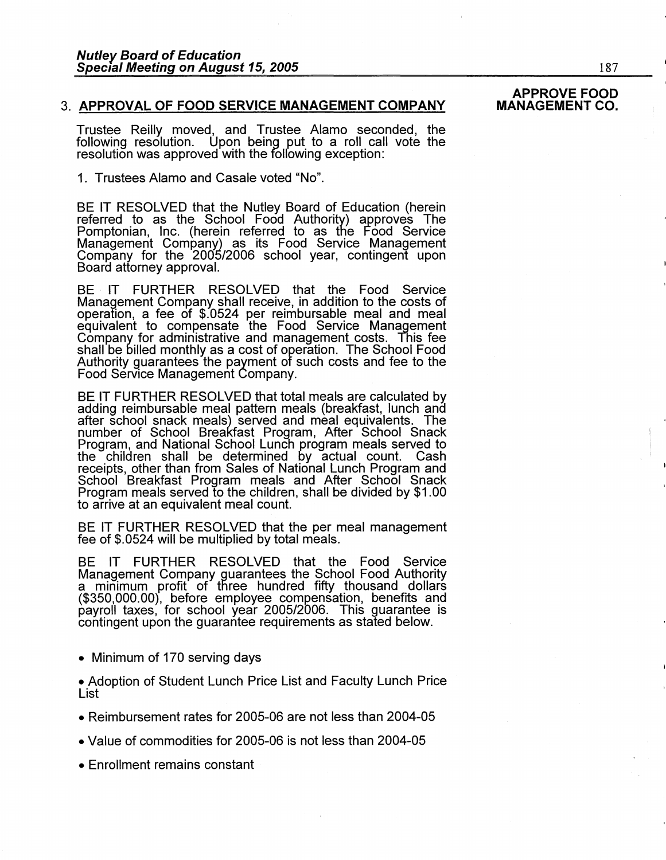# 3. **APPROVAL OF FOOD SERVICE MANAGEMENT COMPANY**

Trustee Reilly moved, and Trustee Alamo seconded, the following resolution. Upon being put to a roll call vote the resolution was approved with the following exception:

# 1. Trustees Alamo and Casale voted "No".

BE IT RESOLVED that the Nutley Board of Education (herein referred to as the School Food Authority) approves The Pomptonian, Inc. (herein referred to as the Food Service Management Company) as its Food Service Management Company for the 2005/2006 school year, contingent upon Board attorney approval.

BE IT FURTHER RESOLVED that the Food Service Management Company shall receive, in addition to the costs of operation, a fee of \$.0524 per reimbursable meal and meal equivalent to compensate the Food Service Management Company for administrative and management costs. This fee shall be billed monthly as a cost of operation. The School Food Authority guarantees the payment of such costs and fee to the Food Service Management Company.

BE IT FURTHER RESOLVED that total meals are calculated by adding reimbursable meal pattern meals (breakfast, lunch and after school snack meals) served and meal equivalents. The number of School Breakfast Program, After School Snack number of School Lunch program meals served to<br>Program, and National School Lunch program meals served to<br>the children shall be determined by actual count. Cash receipts, other than from Sales of National Lunch Program and School Breakfast Program meals and After School Snack Program meals served to the children, shall be divided by \$1.00 to arrive at an equivalent meal count.

BE IT FURTHER RESOLVED that the per meal management fee of \$.0524 will be multiplied by total meals.

BE IT FURTHER RESOLVED that the Food Service Management Company guarantees the School Food Authority a minimum profit of three hundred fifty thousand dollars (\$350,000.00), before employee compensation, benefits and payroll taxes, for school year 2005/2006. This guarantee is contingent upon the guarantee requirements as stated below.

• Minimum of 170 serving days

• Adoption of Student Lunch Price List and Faculty Lunch Price List

- Reimbursement rates for 2005-06 are not less than 2004-05
- Value of commodities for 2005-06 is not less than 2004-05

• Enrollment remains constant

# **APPROVE FOOD MANAGEMENT CO.**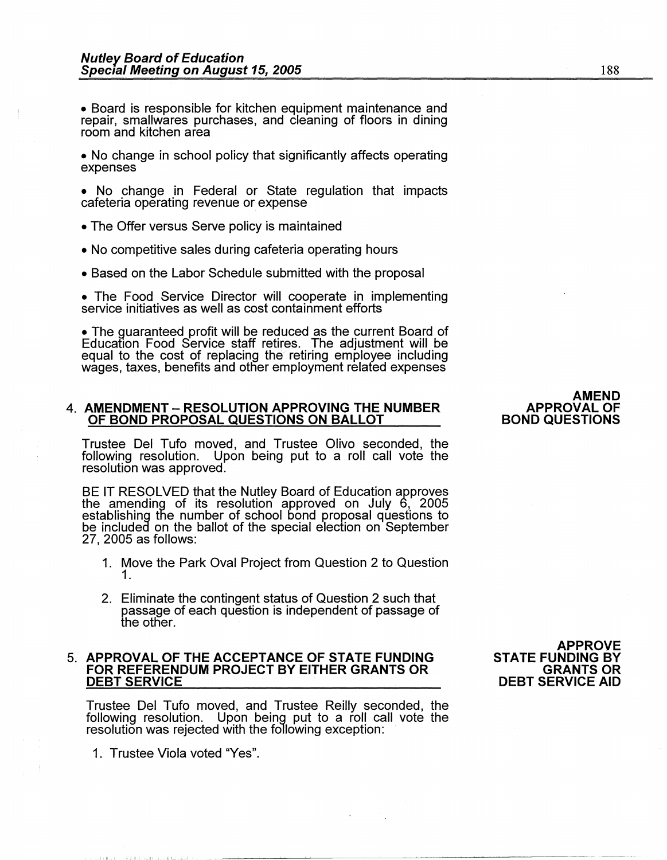• Board is responsible for kitchen equipment maintenance and repair, smallwares purchases, and cleaning of floors in dining room and kitchen area

- No change in school policy that significantly affects operating expenses
- No change in Federal or State regulation that impacts cafeteria operating revenue or expense
- The Offer versus Serve policy is maintained
- No competitive sales during cafeteria operating hours
- Based on the Labor Schedule submitted with the proposal

• The Food Service Director will cooperate in implementing service initiatives as well as cost containment efforts

• The guaranteed profit will be reduced as the current Board of Education Food Service staff retires. The adjustment will be equal to the cost of replacing the retiring employee including wages, taxes, benefits and other employment related expenses

# 4. **AMENDMENT - RESOLUTION APPROVING THE NUMBER OF BOND PROPOSAL QUESTIONS ON BALLOT**

Trustee Del Tufo moved, and Trustee Olivo seconded, the following resolution. Upon being put to a roll call vote the resolution was approved.

BE IT RESOLVED that the Nutley Board of Education approves the amending of its resolution approved on July 6, 2005 establishing the number of school bond proposal questions to<br>be included on the ballot of the special election on September 27, 2005 as follows:

- 1. Move the Park Oval Project from Question 2 to Question 1.
- 2. Eliminate the contingent status of Question 2 such that passage of each question is independent of passage of the other.

# 5. **APPROVAL OF THE ACCEPTANCE OF STATE FUNDING FOR REFERENDUM PROJECT BY EITHER GRANTS OR DEBT SERVICE**

Trustee Del Tufo moved, and Trustee Reilly seconded, the following resolution. Upon being put to a roll call vote the resolution was rejected with the following exception:

1. Trustee Viola voted "Yes".

I II I I J 11 I , \_\_ ,JI , h.l L • .1....JI. I .• ·-- -

**APPROVE STATE FUNDING BY GRANTS OR DEBT SERVICE AID** 

# **AMEND APPROVAL OF BOND QUESTIONS**